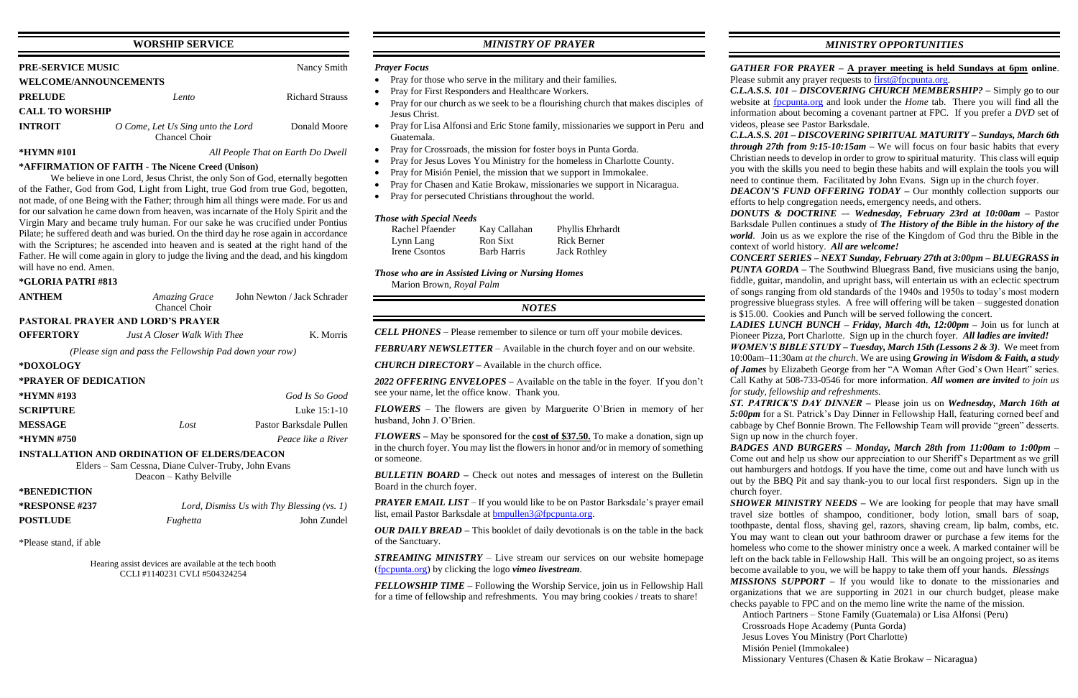## **WORSHIP SERVICE**

| <b>PRE-SERVICE MUSIC</b>     |                                                    | Nancy Smith            |  |  |
|------------------------------|----------------------------------------------------|------------------------|--|--|
| <b>WELCOME/ANNOUNCEMENTS</b> |                                                    |                        |  |  |
| <b>PRELUDE</b>               | Lento                                              | <b>Richard Strauss</b> |  |  |
| <b>CALL TO WORSHIP</b>       |                                                    |                        |  |  |
| <b>INTROIT</b>               | O Come, Let Us Sing unto the Lord<br>Chancel Choir | Donald Moore           |  |  |

# **\*HYMN #101** *All People That on Earth Do Dwell*

## **\*AFFIRMATION OF FAITH - The Nicene Creed (Unison)**

We believe in one Lord, Jesus Christ, the only Son of God, eternally begotten of the Father, God from God, Light from Light, true God from true God, begotten, not made, of one Being with the Father; through him all things were made. For us and for our salvation he came down from heaven, was incarnate of the Holy Spirit and the Virgin Mary and became truly human. For our sake he was crucified under Pontius Pilate; he suffered death and was buried. On the third day he rose again in accordance with the Scriptures; he ascended into heaven and is seated at the right hand of the Father. He will come again in glory to judge the living and the dead, and his kingdom will have no end. Amen.

## **\*GLORIA PATRI #813**

| <b>ANTHEM</b>                                                                  | <b>Amazing Grace</b><br>Chancel Choir        | John Newton / Jack Schrader |  |  |  |  |
|--------------------------------------------------------------------------------|----------------------------------------------|-----------------------------|--|--|--|--|
| <b>PASTORAL PRAYER AND LORD'S PRAYER</b>                                       |                                              |                             |  |  |  |  |
| <b>OFFERTORY</b>                                                               | <i>Just A Closer Walk With Thee</i>          | K. Morris                   |  |  |  |  |
| (Please sign and pass the Fellowship Pad down your row)                        |                                              |                             |  |  |  |  |
| *DOXOLOGY                                                                      |                                              |                             |  |  |  |  |
| *PRAYER OF DEDICATION                                                          |                                              |                             |  |  |  |  |
| *HYMN #193                                                                     |                                              | God Is So Good              |  |  |  |  |
| <b>SCRIPTURE</b>                                                               |                                              | Luke 15:1-10                |  |  |  |  |
| <b>MESSAGE</b>                                                                 | Lost                                         | Pastor Barksdale Pullen     |  |  |  |  |
| *HYMN #750                                                                     |                                              | Peace like a River          |  |  |  |  |
| <b>INSTALLATION AND ORDINATION OF ELDERS/DEACON</b>                            |                                              |                             |  |  |  |  |
| Elders – Sam Cessna, Diane Culver-Truby, John Evans<br>Deacon – Kathy Belville |                                              |                             |  |  |  |  |
| *BENEDICTION                                                                   |                                              |                             |  |  |  |  |
| <b>*RESPONSE #237</b>                                                          | Lord, Dismiss Us with Thy Blessing $(vs. 1)$ |                             |  |  |  |  |
| <b>POSTLUDE</b>                                                                | Fughetta                                     | John Zundel                 |  |  |  |  |

\*Please stand, if able

Hearing assist devices are available at the tech booth CCLI #1140231 CVLI #504324254

## *MINISTRY OF PRAYER*

## *Prayer Focus*

- Pray for those who serve in the military and their families.
- Pray for First Responders and Healthcare Workers.
- Pray for our church as we seek to be a flourishing church that makes disciples of Jesus Christ.
- Pray for Lisa Alfonsi and Eric Stone family, missionaries we support in Peru and Guatemala.
- Pray for Crossroads, the mission for foster boys in Punta Gorda.
- Pray for Jesus Loves You Ministry for the homeless in Charlotte County.
- Pray for Misión Peniel, the mission that we support in Immokalee.
- Pray for Chasen and Katie Brokaw, missionaries we support in Nicaragua.
- Pray for persecuted Christians throughout the world.

*PRAYER EMAIL LIST* – If you would like to be on Pastor Barksdale's prayer email list, email Pastor Barksdale at [bmpullen3@fpcpunta.org.](about:blank)

*GATHER FOR PRAYER –* **A prayer meeting is held Sundays at 6pm online**. Please submit any prayer requests to [first@fpcpunta.org.](about:blank)

## *Those with Special Needs*

| Rachel Pfaender | Kay Callahan       | Phyllis Ehrhardt    |
|-----------------|--------------------|---------------------|
| Lynn Lang       | Ron Sixt           | Rick Berner         |
| Irene Csontos   | <b>Barb Harris</b> | <b>Jack Rothley</b> |

*Those who are in Assisted Living or Nursing Homes* Marion Brown, *Royal Palm*

## *NOTES*

*CELL PHONES –* Please remember to silence or turn off your mobile devices.

*FEBRUARY NEWSLETTER –* Available in the church foyer and on our website.

*CHURCH DIRECTORY –* Available in the church office.

*2022 OFFERING ENVELOPES –* Available on the table in the foyer. If you don't see your name, let the office know. Thank you.

*FLOWERS* – The flowers are given by Marguerite O'Brien in memory of her husband, John J. O'Brien.

*FLOWERS –* May be sponsored for the **cost of \$37.50.** To make a donation, sign up in the church foyer. You may list the flowers in honor and/or in memory of something or someone.

*BULLETIN BOARD –* Check out notes and messages of interest on the Bulletin Board in the church foyer.

*OUR DAILY BREAD –* This booklet of daily devotionals is on the table in the back of the Sanctuary.

*STREAMING MINISTRY –* Live stream our services on our website homepage [\(fpcpunta.org\)](about:blank) by clicking the logo *vimeo livestream.*

*SHOWER MINISTRY NEEDS* – We are looking for people that may have small travel size bottles of shampoo, conditioner, body lotion, small bars of soap, toothpaste, dental floss, shaving gel, razors, shaving cream, lip balm, combs, etc. You may want to clean out your bathroom drawer or purchase a few items for the homeless who come to the shower ministry once a week. A marked container will be left on the back table in Fellowship Hall. This will be an ongoing project, so as items become available to you, we will be happy to take them off your hands. *Blessings*

*FELLOWSHIP TIME –* Following the Worship Service, join us in Fellowship Hall for a time of fellowship and refreshments. You may bring cookies / treats to share!

*MINISTRY OPPORTUNITIES*

*C.L.A.S.S. 101 – DISCOVERING CHURCH MEMBERSHIP? –* Simply go to our website at [fpcpunta.org](about:blank) and look under the *Home* tab. There you will find all the information about becoming a covenant partner at FPC. If you prefer a *DVD* set of videos, please see Pastor Barksdale.

*C.L.A.S.S. 201 – DISCOVERING SPIRITUAL MATURITY – Sundays, March 6th through 27th from 9:15-10:15am –* We will focus on four basic habits that every Christian needs to develop in order to grow to spiritual maturity. This class will equip you with the skills you need to begin these habits and will explain the tools you will need to continue them. Facilitated by John Evans. Sign up in the church foyer.

*DEACON'S FUND OFFERING TODAY –* Our monthly collection supports our efforts to help congregation needs, emergency needs, and others.

*DONUTS & DOCTRINE –*- *Wednesday, February 23rd at 10:00am –* Pastor Barksdale Pullen continues a study of *The History of the Bible in the history of the world*. Join us as we explore the rise of the Kingdom of God thru the Bible in the context of world history. *All are welcome!*

*CONCERT SERIES – NEXT Sunday, February 27th at 3:00pm – BLUEGRASS in PUNTA GORDA –* The Southwind Bluegrass Band, five musicians using the banjo, fiddle, guitar, mandolin, and upright bass, will entertain us with an eclectic spectrum of songs ranging from old standards of the 1940s and 1950s to today's most modern progressive bluegrass styles. A free will offering will be taken – suggested donation is \$15.00. Cookies and Punch will be served following the concert.

*LADIES LUNCH BUNCH – Friday, March 4th, 12:00pm –* Join us for lunch at Pioneer Pizza, Port Charlotte. Sign up in the church foyer. *All ladies are invited!*

*WOMEN'S BIBLE STUDY – Tuesday, March 15th (Lessons 2 & 3)*. We meet from 10:00am–11:30am *at the church*. We are using *Growing in Wisdom & Faith, a study of James* by Elizabeth George from her "A Woman After God's Own Heart" series. Call Kathy at 508-733-0546 for more information. *All women are invited to join us for study, fellowship and refreshments.*

*ST. PATRICK'S DAY DINNER –* Please join us on *Wednesday, March 16th at 5:00pm* for a St. Patrick's Day Dinner in Fellowship Hall, featuring corned beef and cabbage by Chef Bonnie Brown. The Fellowship Team will provide "green" desserts. Sign up now in the church foyer.

*BADGES AND BURGERS – Monday, March 28th from 11:00am to 1:00pm –* Come out and help us show our appreciation to our Sheriff's Department as we grill out hamburgers and hotdogs. If you have the time, come out and have lunch with us out by the BBQ Pit and say thank-you to our local first responders. Sign up in the

# church foyer.

*MISSIONS SUPPORT –* If you would like to donate to the missionaries and organizations that we are supporting in 2021 in our church budget, please make checks payable to FPC and on the memo line write the name of the mission.

Antioch Partners – Stone Family (Guatemala) or Lisa Alfonsi (Peru)

Crossroads Hope Academy (Punta Gorda)

Jesus Loves You Ministry (Port Charlotte)

Misión Peniel (Immokalee)

Missionary Ventures (Chasen & Katie Brokaw – Nicaragua)